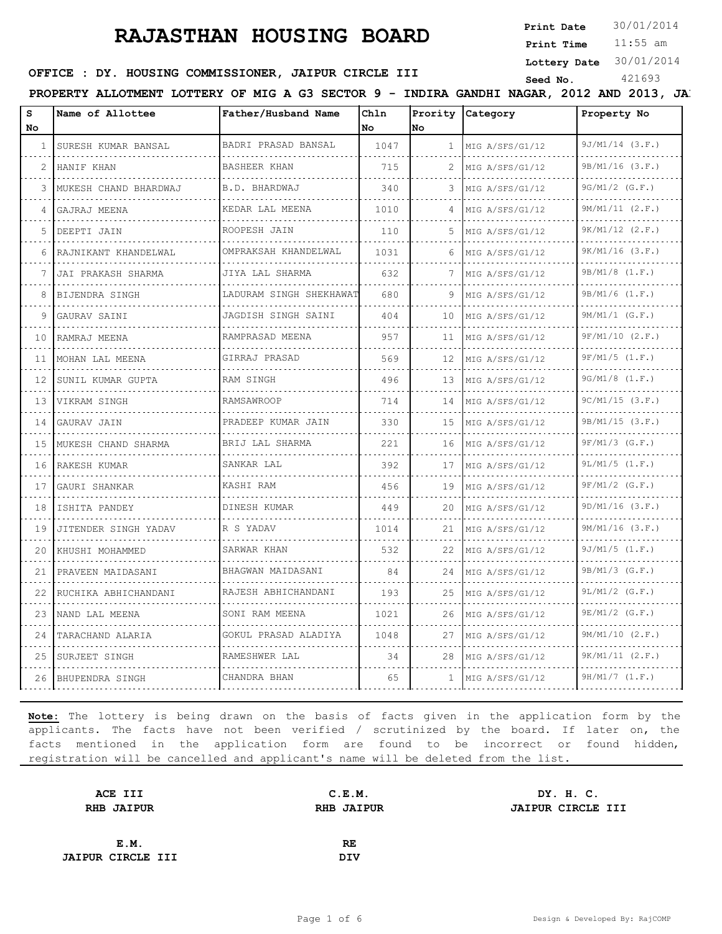**Print Date**  $30/01/2014$ 

11:55 am **Print Time**

**Lottery Date** 30/01/2014

### **SEED OFFICE : DY. HOUSING COMMISSIONER, JAIPUR CIRCLE III** Seed No. 421693

PROPERTY ALLOTMENT LOTTERY OF MIG A G3 SECTOR 9 - INDIRA GANDHI NAGAR, 2012 AND 2013, JAI

| s<br><b>No</b> | Name of Allottee      | Father/Husband Name          | Chln<br>No. | No.             | Prority Category     | Property No              |
|----------------|-----------------------|------------------------------|-------------|-----------------|----------------------|--------------------------|
| $\mathbf{1}$   | SURESH KUMAR BANSAL   | BADRI PRASAD BANSAL          | 1047        | $\mathbf{1}$    | MIG A/SFS/G1/12      | $9J/M1/14$ (3.F.)        |
|                | HANIF KHAN            | BASHEER KHAN                 | 715         |                 | .<br>MIG A/SFS/G1/12 | .<br>$9B/M1/16$ (3.F.)   |
| 3              | MUKESH CHAND BHARDWAJ | .<br>B.D. BHARDWAJ           | 340         | 3               | MIG A/SFS/G1/12      | 9G/M1/2 (G.F.)           |
|                | GAJRAJ MEENA          | KEDAR LAL MEENA              | 1010        | 4               | MIG A/SFS/G1/12      | 9M/M1/11 (2.F.)          |
| 5.             | DEEPTI JAIN           | ROOPESH JAIN                 | 110         |                 | .<br>MIG A/SFS/G1/12 | .<br>$9K/M1/12$ $(2.F.)$ |
| 6              | RAJNIKANT KHANDELWAL  | OMPRAKSAH KHANDELWAL         | 1031        | 6               | MIG A/SFS/G1/12      | $9K/M1/16$ $(3.F.)$      |
|                | JAI PRAKASH SHARMA    | .<br>JIYA LAL SHARMA         | 632         | 7               | MIG A/SFS/G1/12      | $9B/M1/8$ $(1.F.)$       |
|                | BIJENDRA SINGH        | .<br>LADURAM SINGH SHEKHAWAT | 680         | 9               | .<br>MIG A/SFS/G1/12 | $9B/M1/6$ $(1.F.)$       |
| 9              | GAURAV SAINI          | JAGDISH SINGH SAINI          | 404         | 10              | MIG A/SFS/G1/12      | $9M/M1/1$ (G.F.)<br>.    |
| 10             | RAMRAJ MEENA          | RAMPRASAD MEENA              | 957         | 11              | MIG A/SFS/G1/12      | 9F/M1/10 (2.F.)          |
| 11             | MOHAN LAL MEENA       | GIRRAJ PRASAD                | 569         | 12 <sup>°</sup> | .<br>MIG A/SFS/G1/12 | $9F/M1/5$ $(1.F.)$       |
| 12             | SUNIL KUMAR GUPTA     | RAM SINGH                    | 496         | 13              | MIG A/SFS/G1/12      | $9G/M1/8$ $(1.F.)$<br>.  |
| 13             | VIKRAM SINGH          | <b>RAMSAWROOP</b>            | 714         | 14              | MIG A/SFS/G1/12      | 9C/M1/15 (3.F.)          |
| 14             | GAURAV JAIN           | PRADEEP KUMAR JAIN           | 330         | 15              | MIG A/SFS/G1/12      | 9B/M1/15 (3.F.)          |
| 15             | MUKESH CHAND SHARMA   | BRIJ LAL SHARMA              | 2.2.1       | 16              | MIG A/SFS/G1/12      | $9F/M1/3$ (G.F.)         |
| 16             | RAKESH KUMAR          | SANKAR LAL                   | 392         | 17              | MIG A/SFS/G1/12      | $9L/M1/5$ $(1.F.)$       |
| 17             | GAURI SHANKAR         | KASHI RAM                    | 456         | 19              | MIG A/SFS/G1/12      | $9F/M1/2$ (G.F.)         |
| 18             | ISHITA PANDEY         | DINESH KUMAR                 | 449         | 20              | MIG A/SFS/G1/12      | $9D/M1/16$ $(3.F.)$<br>. |
| 19             | JITENDER SINGH YADAV  | R S YADAV                    | 1014        | 21              | MIG A/SFS/G1/12      | $9M/M1/16$ (3.F.)        |
| 20             | KHUSHI MOHAMMED       | SARWAR KHAN<br>.             | 532         | 22              | MIG A/SFS/G1/12      | $9J/M1/5$ $(1.F.)$       |
| 21             | PRAVEEN MAIDASANI     | BHAGWAN MAIDASANI<br>.       | 84          | 24              | MIG A/SFS/G1/12      | 9B/M1/3 (G.F.)           |
| 22             | RUCHIKA ABHICHANDANI  | RAJESH ABHICHANDANI          | 193         | 25              | MIG A/SFS/G1/12      | $9L/M1/2$ (G.F.)         |
| 23             | NAND LAL MEENA        | SONI RAM MEENA               | 1021        | 26              | MIG A/SFS/G1/12      | $9E/M1/2$ (G.F.)         |
| 24             | TARACHAND ALARIA      | GOKUL PRASAD ALADIYA<br>.    | 1048        | 27              | MIG A/SFS/G1/12      | 9M/M1/10 (2.F.)          |
| 25             | SURJEET SINGH         | RAMESHWER LAL                | 34          | 28              | MIG A/SFS/G1/12      | 9K/M1/11 (2.F.)          |
| 26             | BHUPENDRA SINGH       | CHANDRA BHAN                 | 65          | $\mathbf{1}$    | MIG A/SFS/G1/12      | 9H/M1/7 (1.F.)           |

| C.E.M.            | DY. H. C.         |
|-------------------|-------------------|
| <b>RHB JAIPUR</b> | JAIPUR CIRCLE III |
|                   |                   |
| RE                |                   |
| <b>DIV</b>        |                   |
|                   |                   |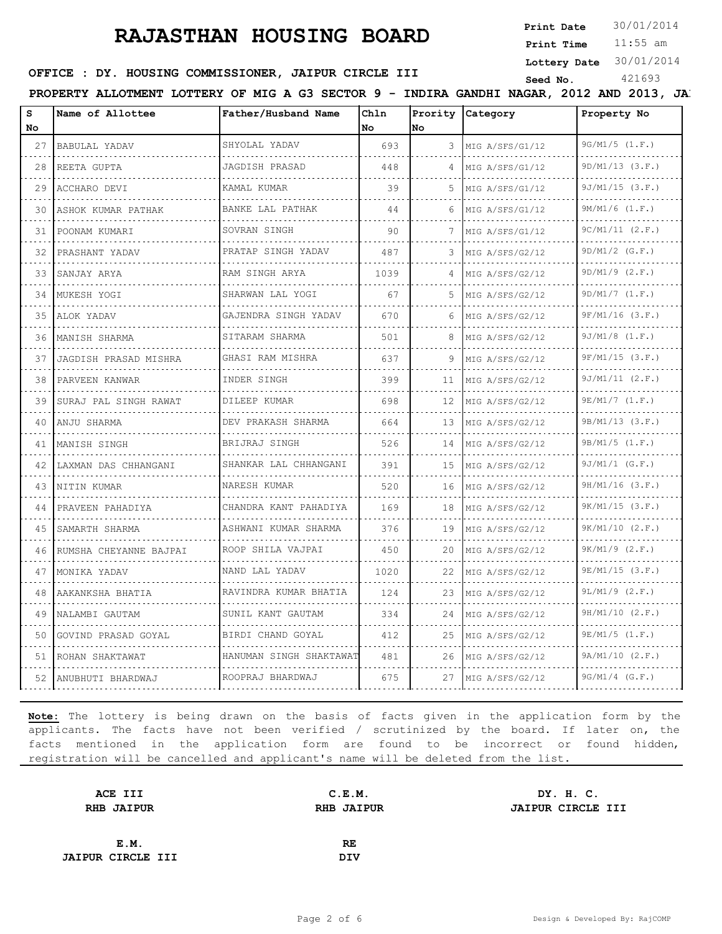**Print Date**  $30/01/2014$ 

11:55 am **Print Time**

**Lottery Date** 30/01/2014

# **SEED AND SEED III SEED ASSESSED ASSESSED ASSESSED ASSESSED ASSESS** SEED THAN Seed No. 421693

PROPERTY ALLOTMENT LOTTERY OF MIG A G3 SECTOR 9 - INDIRA GANDHI NAGAR, 2012 AND 2013, JA.

| s   | Name of Allottee        | Father/Husband Name         | Chln |    | Prority Category     | Property No          |
|-----|-------------------------|-----------------------------|------|----|----------------------|----------------------|
| No. |                         |                             | No   | No |                      |                      |
| 27  | BABULAL YADAV           | SHYOLAL YADAV<br>.          | 693  |    | 3 MIG A/SFS/G1/12    | 9G/M1/5 (1.F.)       |
| 28  | REETA GUPTA             | JAGDISH PRASAD              | 448  |    | MIG A/SFS/G1/12      | $9D/M1/13$ $(3.F.)$  |
| 29  | ACCHARO DEVI            | KAMAL KUMAR<br>.            | 39   | 5. | MIG A/SFS/G1/12<br>. | 9J/M1/15 (3.F.)<br>. |
| 30  | ASHOK KUMAR PATHAK<br>. | BANKE LAL PATHAK<br>.       | 44   | 6  | MIG A/SFS/G1/12<br>. | $9M/M1/6$ $(1.F.)$   |
| 31  | POONAM KUMARI           | SOVRAN SINGH                | 90   | 7  | MIG A/SFS/G1/12      | 9C/M1/11 (2.F.)      |
| 32  | PRASHANT YADAV          | PRATAP SINGH YADAV<br>.     | 487  | 3. | MIG A/SFS/G2/12<br>. | $9D/M1/2$ (G.F.)     |
| 33  | SANJAY ARYA<br>.        | RAM SINGH ARYA<br>.         | 1039 | 4  | MIG A/SFS/G2/12<br>. | $9D/M1/9$ $(2.F.)$   |
| 34  | MUKESH YOGI             | SHARWAN LAL YOGI            | 67   | 5. | MIG A/SFS/G2/12      | 9D/M1/7 (1.F.)       |
| 35  | ALOK YADAV              | GAJENDRA SINGH YADAV        | 670  | 6  | MIG A/SFS/G2/12      | $9F/M1/16$ (3.F.)    |
| 36  | MANISH SHARMA           | SITARAM SHARMA<br>.         | 501  | 8  | MIG A/SFS/G2/12<br>. | $9J/M1/8$ $(1.F.)$   |
| 37  | JAGDISH PRASAD MISHRA   | GHASI RAM MISHRA            | 637  | 9  | MIG A/SFS/G2/12      | 9F/M1/15 (3.F.)      |
| 38  | PARVEEN KANWAR<br>.     | INDER SINGH<br>.            | 399  | 11 | MIG A/SFS/G2/12      | 9J/M1/11 (2.F.)      |
| 39  | SURAJ PAL SINGH RAWAT   | DILEEP KUMAR<br>.           | 698  | 12 | MIG A/SFS/G2/12<br>. | 9E/M1/7 (1.F.)       |
| 40  | ANJU SHARMA             | DEV PRAKASH SHARMA<br>.     | 664  | 13 | MIG A/SFS/G2/12      | 9B/M1/13 (3.F.)      |
| 41  | MANISH SINGH            | BRIJRAJ SINGH<br>.          | 526  | 14 | MIG A/SFS/G2/12      | 9B/M1/5 (1.F.)<br>.  |
| 42  | LAXMAN DAS CHHANGANI    | SHANKAR LAL CHHANGANI<br>.  | 391  | 15 | MIG A/SFS/G2/12<br>. | $9J/M1/1$ (G.F.)     |
| 43  | NITIN KUMAR             | NARESH KUMAR                | 520  | 16 | MIG A/SFS/G2/12      | $9H/M1/16$ (3.F.)    |
| 44  | PRAVEEN PAHADIYA        | CHANDRA KANT PAHADIYA       | 169  | 18 | MIG A/SFS/G2/12      | 9K/M1/15 (3.F.)      |
| 45  | SAMARTH SHARMA          | .<br>ASHWANI KUMAR SHARMA   | 376  | 19 | MIG A/SFS/G2/12      | .<br>9K/M1/10 (2.F.) |
| 46  | RUMSHA CHEYANNE BAJPAI  | .<br>ROOP SHILA VAJPAI<br>. | 450  | 20 | MIG A/SFS/G2/12      | $9K/M1/9$ $(2.F.)$   |
| 47  | MONIKA YADAV            | NAND LAL YADAV              | 1020 | 22 | MIG A/SFS/G2/12      | $9E/M1/15$ (3.F.)    |
| 48  | AAKANKSHA BHATIA        | RAVINDRA KUMAR BHATIA       | 124  | 23 | MIG A/SFS/G2/12      | $9L/M1/9$ (2.F.)     |
| 49  | NALAMBI GAUTAM          | .<br>SUNIL KANT GAUTAM      | 334  | 24 | MIG A/SFS/G2/12      | 9H/M1/10 (2.F.)      |
| 50  | GOVIND PRASAD GOYAL     | BIRDI CHAND GOYAL           | 412  | 25 | MIG A/SFS/G2/12      | $9E/M1/5$ $(1.F.)$   |
| 51  | ROHAN SHAKTAWAT         | HANUMAN SINGH SHAKTAWAT     | 481  | 26 | MIG A/SFS/G2/12      | 9A/M1/10 (2.F.)      |
|     | 52   ANUBHUTI BHARDWAJ  | ROOPRAJ BHARDWAJ            | 675  | 27 | MIG A/SFS/G2/12      | $9G/M1/4$ (G.F.)     |

| C.E.M.            | DY. H. C.         |
|-------------------|-------------------|
| <b>RHB JAIPUR</b> | JAIPUR CIRCLE III |
|                   |                   |
| RE                |                   |
| <b>DIV</b>        |                   |
|                   |                   |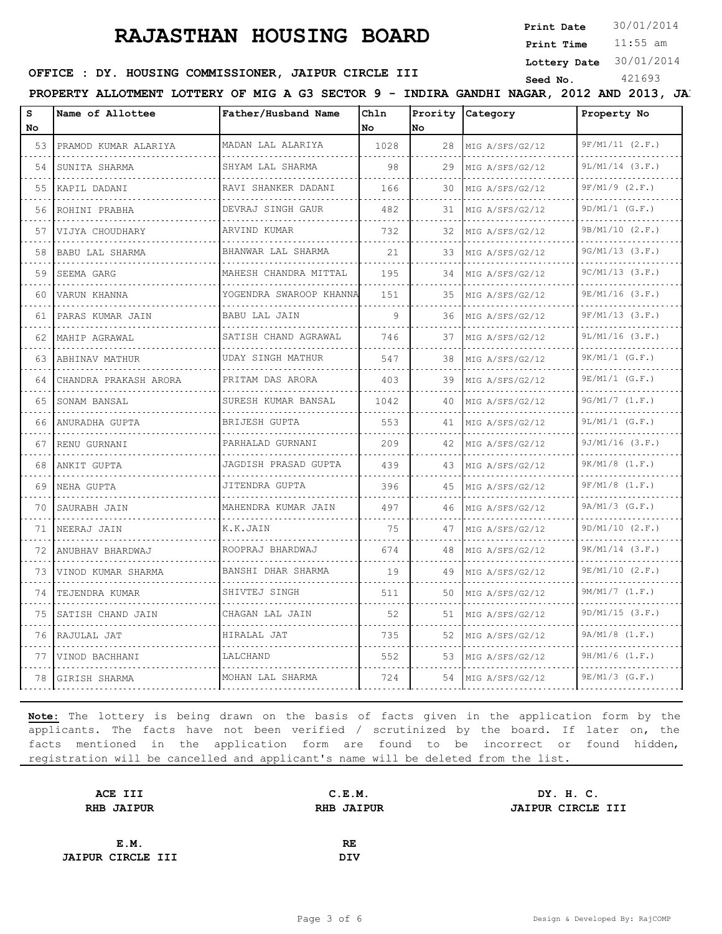**Print Date**  $30/01/2014$ 

11:55 am **Print Time**

**Lottery Date** 30/01/2014

# **SERICE : DY. HOUSING COMMISSIONER, JAIPUR CIRCLE III** Seed No. 421693

|                                                                                                                                 | PROPERTY ALLOTMENT LOTTERY OF MIG A G3 SECTOR 9 - INDIRA GANDHI NAGAR, 2012 AND 2013, JA. |                         |             |         |                      |                        |
|---------------------------------------------------------------------------------------------------------------------------------|-------------------------------------------------------------------------------------------|-------------------------|-------------|---------|----------------------|------------------------|
| s<br>No.                                                                                                                        | Name of Allottee                                                                          | Father/Husband Name     | Ch1n<br>No. | lNo.    | Prority Category     | Property No            |
| 53                                                                                                                              | PRAMOD KUMAR ALARIYA                                                                      | MADAN LAL ALARIYA       | 1028        | 28      | MIG A/SFS/G2/12      | 9F/M1/11 (2.F.)        |
| 54                                                                                                                              | SUNITA SHARMA                                                                             | SHYAM LAL SHARMA        | 98          | 29      | .<br>MIG A/SFS/G2/12 | $9L/M1/14$ $(3.F.)$    |
| $- - -$<br>55                                                                                                                   | KAPIL DADANI                                                                              | RAVI SHANKER DADANI     | 166         | 30      | MIG A/SFS/G2/12      | $9F/M1/9$ (2.F.)       |
| 56                                                                                                                              | ROHINI PRABHA                                                                             | DEVRAJ SINGH GAUR       | 482         | 31      | .<br>MIG A/SFS/G2/12 | $9D/M1/1$ (G.F.)       |
| 57                                                                                                                              | VIJYA CHOUDHARY                                                                           | ARVIND KUMAR            | 732         | 32      | MIG A/SFS/G2/12      | 9B/M1/10 (2.F.)        |
| 58                                                                                                                              | BABU LAL SHARMA                                                                           | BHANWAR LAL SHARMA      | 21          | 33      | MIG A/SFS/G2/12      | 9G/M1/13 (3.F.)        |
| 59                                                                                                                              | SEEMA GARG                                                                                | MAHESH CHANDRA MITTAL   | 195         | .<br>34 | MIG A/SFS/G2/12      | $9C/M1/13$ $(3.F.)$    |
| 60                                                                                                                              | VARUN KHANNA                                                                              | YOGENDRA SWAROOP KHANNA | 151         | 35      | .<br>MIG A/SFS/G2/12 | .<br>$9E/M1/16$ (3.F.) |
| 61                                                                                                                              | PARAS KUMAR JAIN                                                                          | BABU LAL JAIN           | 9           | 36      | MIG A/SFS/G2/12      | $9F/M1/13$ $(3.F.)$    |
| $- - - -$<br>62                                                                                                                 | MAHIP AGRAWAL                                                                             | SATISH CHAND AGRAWAL    | 746         | 37      | MIG A/SFS/G2/12      | $9L/M1/16$ (3.F.)      |
| 63                                                                                                                              | ABHINAV MATHUR                                                                            | UDAY SINGH MATHUR       | 547         | 38      | MIG A/SFS/G2/12      | .<br>$9K/M1/1$ (G.F.)  |
| 64                                                                                                                              | CHANDRA PRAKASH ARORA                                                                     | PRITAM DAS ARORA        | 403         | 39      | MIG A/SFS/G2/12      | $9E/M1/1$ (G.F.)       |
| 65                                                                                                                              | SONAM BANSAL                                                                              | SURESH KUMAR BANSAL     | 1042        | 40      | MIG A/SFS/G2/12      | 9G/M1/7 (1.F.)         |
| 66                                                                                                                              | ANURADHA GUPTA                                                                            | BRIJESH GUPTA           | 553         | 41      | MIG A/SFS/G2/12      | $9L/M1/1$ (G.F.)       |
| $\sim$ $\sim$ $\sim$ $\sim$<br>67                                                                                               | RENU GURNANI                                                                              | PARHALAD GURNANI        | 209         | 42      | MIG A/SFS/G2/12      | $9J/M1/16$ (3.F.)      |
| 68                                                                                                                              | ANKIT GUPTA                                                                               | JAGDISH PRASAD GUPTA    | 439         | 43      | MIG A/SFS/G2/12      | $9K/M1/8$ $(1.F.)$     |
| 69                                                                                                                              | NEHA GUPTA                                                                                | JITENDRA GUPTA          | 396         | 45      | MIG A/SFS/G2/12      | $9F/M1/8$ $(1.F.)$     |
| $- - - -$<br>70                                                                                                                 | SAURABH JAIN                                                                              | MAHENDRA KUMAR JAIN     | 497         | 46      | .<br>MIG A/SFS/G2/12 | 9A/M1/3 (G.F.)         |
| 71                                                                                                                              | NEERAJ JAIN                                                                               | K.K.JAIN                | 75          | 47      | MIG A/SFS/G2/12      | 9D/M1/10 (2.F.)        |
| - - - -<br>72                                                                                                                   | ANUBHAV BHARDWAJ                                                                          | ROOPRAJ BHARDWAJ        | 674         | 48      | MIG A/SFS/G2/12      | $9K/M1/14$ $(3.F.)$    |
| 73                                                                                                                              | VINOD KUMAR SHARMA                                                                        | BANSHI DHAR SHARMA      | 19          | 49      | .<br>MIG A/SFS/G2/12 | 9E/M1/10 (2.F.)        |
| 74                                                                                                                              | TEJENDRA KUMAR                                                                            | SHIVTEJ SINGH           | 511         | 50      | MIG A/SFS/G2/12      | $9M/M1/7$ $(1.F.)$     |
| $\frac{1}{2} \left( \frac{1}{2} \right) \left( \frac{1}{2} \right) \left( \frac{1}{2} \right) \left( \frac{1}{2} \right)$<br>75 | SATISH CHAND JAIN                                                                         | CHAGAN LAL JAIN         | 52          | 51      | MIG A/SFS/G2/12      | 9D/M1/15 (3.F.)        |
| 76                                                                                                                              | RAJULAL JAT                                                                               | HIRALAL JAT             | 735         | 52      | MIG A/SFS/G2/12      | 9A/M1/8 (1.F.)         |
| 77                                                                                                                              | VINOD BACHHANI                                                                            | .<br>LALCHAND           | 552         |         | 53 MIG A/SFS/G2/12   | $9H/M1/6$ $(1.F.)$     |
| 78                                                                                                                              | GIRISH SHARMA                                                                             | MOHAN LAL SHARMA        | 724         |         | 54   MIG A/SFS/G2/12 | $9E/M1/3$ (G.F.)       |

| ACE III                  | C.E.M.            | DY. H. C.         |
|--------------------------|-------------------|-------------------|
| <b>RHB JAIPUR</b>        | <b>RHB JAIPUR</b> | JAIPUR CIRCLE III |
|                          |                   |                   |
| E.M.                     | RE                |                   |
| <b>JAIPUR CIRCLE III</b> | DIV               |                   |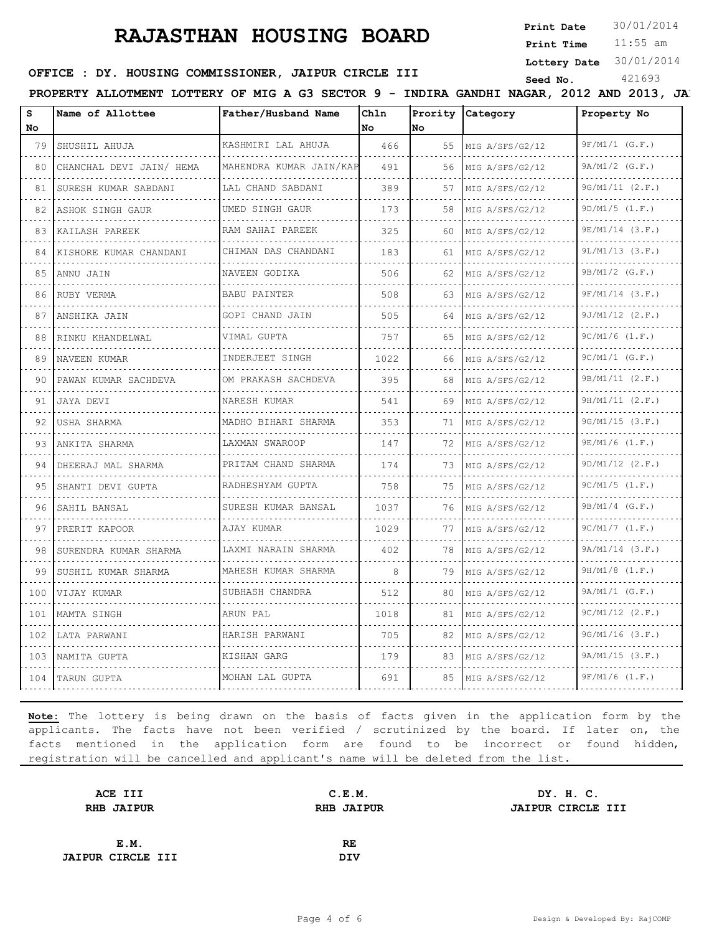**Print Date**

11:55 am **Print Time**

**Lottery Date** 30/01/2014

### **SEED OFFICE : DY. HOUSING COMMISSIONER, JAIPUR CIRCLE III** Seed No. 421693

PROPERTY ALLOTMENT LOTTERY OF MIG A G3 SECTOR 9 - INDIRA GANDHI NAGAR, 2012 AND 2013, JA.

| s<br>No | Name of Allottee               | Father/Husband Name      | Chln<br>No | No. | Prority Category     | Property No          |
|---------|--------------------------------|--------------------------|------------|-----|----------------------|----------------------|
| 79      | SHUSHIL AHUJA                  | KASHMIRI LAL AHUJA       | 466        | 55  | MIG A/SFS/G2/12      | $9F/M1/1$ (G.F.)     |
| 80      | CHANCHAL DEVI JAIN/ HEMA       | MAHENDRA KUMAR JAIN/KAP  | 491        | 56  | MIG A/SFS/G2/12      | $9A/M1/2$ (G.F.)     |
| 81      | SURESH KUMAR SABDANI           | .<br>LAL CHAND SABDANI   | 389        | 57  | MIG A/SFS/G2/12      | 9G/M1/11 (2.F.)      |
| 82      | .<br>ASHOK SINGH GAUR          | .<br>UMED SINGH GAUR     | 173        | 58  | MIG A/SFS/G2/12      | 9D/M1/5 (1.F.)       |
| 83      | KAILASH PAREEK                 | RAM SAHAI PAREEK         | 325        | 60  | MIG A/SFS/G2/12      | $9E/M1/14$ (3.F.)    |
| 84      | KISHORE KUMAR CHANDANI         | CHIMAN DAS CHANDANI      | 183        | 61  | MIG A/SFS/G2/12      | $9L/M1/13$ $(3.F.)$  |
| 85      | ANNU JAIN                      | .<br>NAVEEN GODIKA       | 506        | 62  | MIG A/SFS/G2/12      | $9B/M1/2$ (G.F.)     |
| 86      | RUBY VERMA                     | BABU PAINTER             | 508        | 63  | MIG A/SFS/G2/12      | $9F/M1/14$ (3.F.)    |
| 87      | ANSHIKA JAIN                   | GOPI CHAND JAIN          | 505        | 64  | MIG A/SFS/G2/12      | $9J/M1/12$ $(2.F.)$  |
| 88      | RINKU KHANDELWAL               | .<br>VIMAL GUPTA         | 757        | 65  | MIG A/SFS/G2/12      | $9C/M1/6$ $(1.F.)$   |
| 89      | NAVEEN KUMAR                   | INDERJEET SINGH          | 1022       | 66  | MIG A/SFS/G2/12      | $9C/M1/1$ (G.F.)     |
| 90      | .<br>PAWAN KUMAR SACHDEVA<br>. | .<br>OM PRAKASH SACHDEVA | 395        | 68  | .<br>MIG A/SFS/G2/12 | 9B/M1/11 (2.F.)<br>. |
| 91      | JAYA DEVI                      | .<br>NARESH KUMAR        | 541        | 69  | MIG A/SFS/G2/12      | 9H/M1/11 (2.F.)      |
| 92      | USHA SHARMA                    | MADHO BIHARI SHARMA<br>. | 353        | 71  | MIG A/SFS/G2/12      | $9G/M1/15$ $(3.F.)$  |
| 93      | ANKITA SHARMA                  | LAXMAN SWAROOP           | 147        | 72  | MIG A/SFS/G2/12      | $9E/M1/6$ $(1.F.)$   |
| 94      | DHEERAJ MAL SHARMA             | PRITAM CHAND SHARMA      | 174        | 73  | MIG A/SFS/G2/12      | $9D/M1/12$ $(2.F.)$  |
| 95      | SHANTI DEVI GUPTA              | RADHESHYAM GUPTA         | 758        | 75  | MIG A/SFS/G2/12      | $9C/M1/5$ $(1.F.)$   |
| 96      | SAHIL BANSAL<br>.              | SURESH KUMAR BANSAL      | 1037       | 76  | MIG A/SFS/G2/12      | $9B/M1/4$ (G.F.)     |
| 97      | PRERIT KAPOOR                  | AJAY KUMAR               | 1029       | 77  | MIG A/SFS/G2/12      | 9C/M1/7 (1.F.)       |
| 98      | SURENDRA KUMAR SHARMA          | LAXMI NARAIN SHARMA      | 402        | 78  | MIG A/SFS/G2/12      | $9A/M1/14$ $(3.F.)$  |
| 99      | SUSHIL KUMAR SHARMA            | MAHESH KUMAR SHARMA<br>. | 8          | 79  | MIG A/SFS/G2/12      | $9H/M1/8$ $(1.F.)$   |
| 100     | VIJAY KUMAR                    | SUBHASH CHANDRA          | 512        | 80  | MIG A/SFS/G2/12      | $9A/M1/1$ (G.F.)     |
| 101     | MAMTA SINGH                    | ARUN PAL                 | 1018       | 81  | MIG A/SFS/G2/12      | $9C/M1/12$ $(2.F.)$  |
| 102     | LATA PARWANI                   | HARISH PARWANI           | 705        | 82  | MIG A/SFS/G2/12      | $9G/M1/16$ (3.F.)    |
| 103     | NAMITA GUPTA                   | KISHAN GARG              | 179        | 83  | MIG A/SFS/G2/12      | 9A/M1/15 (3.F.)      |
|         | 104 ITARUN GUPTA               | MOHAN LAL GUPTA          | 691        | 85  | MIG A/SFS/G2/12      | $9F/M1/6$ $(1.F.)$   |

| C.E.M.            | DY. H. C.         |
|-------------------|-------------------|
| <b>RHB JAIPUR</b> | JAIPUR CIRCLE III |
|                   |                   |
| RE                |                   |
| <b>DIV</b>        |                   |
|                   |                   |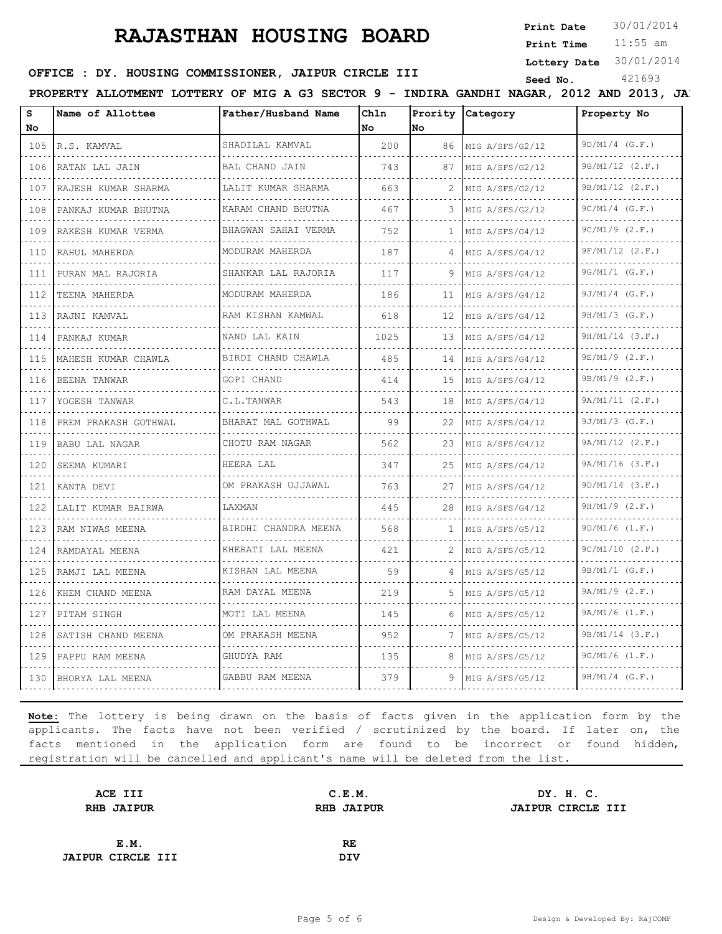**Print Date**  $30/01/2014$ 

11:55 am **Print Time**

**Lottery Date** 30/01/2014

### **SEED OFFICE : DY. HOUSING COMMISSIONER, JAIPUR CIRCLE III** Seed No. 421693

PROPERTY ALLOTMENT LOTTERY OF MIG A G3 SECTOR 9 - INDIRA GANDHI NAGAR, 2012 AND 2013, JAI

| s<br>No | Name of Allottee     | Father/Husband Name      | Chln<br>l No | lNo          | Prority Category | Property No         |
|---------|----------------------|--------------------------|--------------|--------------|------------------|---------------------|
| 105     | R.S. KAMVAL          | SHADILAL KAMVAL          | 200          | 86           | MIG A/SFS/G2/12  | $9D/M1/4$ (G.F.)    |
| 106     | RATAN LAL JAIN       | BAL CHAND JAIN           | 743          | 87           | MIG A/SFS/G2/12  | $9G/M1/12$ $(2.F.)$ |
| 107     | RAJESH KUMAR SHARMA  | LALIT KUMAR SHARMA       | 663          |              | MIG A/SFS/G2/12  | 9B/M1/12 (2.F.)     |
| 108     | PANKAJ KUMAR BHUTNA  | .<br>KARAM CHAND BHUTNA  | 467          | 3            | MIG A/SFS/G2/12  | $9C/M1/4$ (G.F.)    |
| 109     | RAKESH KUMAR VERMA   | BHAGWAN SAHAI VERMA      | 752          | $\mathbf{1}$ | MIG A/SFS/G4/12  | $9C/M1/9$ $(2.F.)$  |
| 110     | RAHUL MAHERDA        | MODURAM MAHERDA          | 187          |              | MIG A/SFS/G4/12  | $9F/M1/12$ $(2.F.)$ |
| 111     | PURAN MAL RAJORIA    | .<br>SHANKAR LAL RAJORIA | 117          | 9            | MIG A/SFS/G4/12  | $9G/M1/1$ (G.F.)    |
| 112     | TEENA MAHERDA        | MODURAM MAHERDA          | 186          | 11           | MIG A/SFS/G4/12  | $9J/M1/4$ (G.F.)    |
| 113     | RAJNI KAMVAL         | RAM KISHAN KAMWAL        | 618          | 12           | MIG A/SFS/G4/12  | $9H/M1/3$ (G.F.)    |
| 114     | PANKAJ KUMAR         | .<br>NAND LAL KAIN       | 1025         | 13           | MIG A/SFS/G4/12  | $9H/M1/14$ (3.F.)   |
| 115     | MAHESH KUMAR CHAWLA  | BIRDI CHAND CHAWLA       | 485          | 14           | MIG A/SFS/G4/12  | $9E/M1/9$ (2.F.)    |
| 116     | BEENA TANWAR         | GOPI CHAND               | 414          | 15           | MIG A/SFS/G4/12  | $9B/M1/9$ (2.F.)    |
| 117     | YOGESH TANWAR        | C.L.TANWAR               | 543          | 18           | MIG A/SFS/G4/12  | 9A/M1/11 (2.F.)     |
| 118     | PREM PRAKASH GOTHWAL | BHARAT MAL GOTHWAL       | 99           | 22           | MIG A/SFS/G4/12  | $9J/M1/3$ (G.F.)    |
| 119     | BABU LAL NAGAR       | CHOTU RAM NAGAR          | 562          | 23           | MIG A/SFS/G4/12  | 9A/M1/12 (2.F.)     |
| 120     | SEEMA KUMARI         | .<br>HEERA LAL           | 347          | 25           | MIG A/SFS/G4/12  | $9A/M1/16$ $(3.F.)$ |
| 121     | KANTA DEVI           | OM PRAKASH UJJAWAL       | 763          | 27           | MIG A/SFS/G4/12  | $9D/M1/14$ $(3.F.)$ |
| 122     | LALIT KUMAR BAIRWA   | LAXMAN                   | 445          | 28           | MIG A/SFS/G4/12  | $9H/M1/9$ $(2.F.)$  |
| 123     | RAM NIWAS MEENA      | BIRDHI CHANDRA MEENA     | 568          | $\mathbf{1}$ | MIG A/SFS/G5/12  | $9D/M1/6$ $(1.F.)$  |
| 124     | RAMDAYAL MEENA       | KHERATI LAL MEENA<br>.   | 421          | 2            | MIG A/SFS/G5/12  | 9C/M1/10 (2.F.)     |
| 125     | RAMJI LAL MEENA      | KISHAN LAL MEENA<br>.    | 59           |              | MIG A/SFS/G5/12  | $9B/M1/1$ (G.F.)    |
| 126     | KHEM CHAND MEENA     | RAM DAYAL MEENA          | 219          | 5            | MIG A/SFS/G5/12  | $9A/M1/9$ $(2.F.)$  |
| 127     | PITAM SINGH          | MOTI LAL MEENA           | 145          | 6            | MIG A/SFS/G5/12  | $9A/M1/6$ $(1.F.)$  |
| 128     | SATISH CHAND MEENA   | OM PRAKASH MEENA         | 952          |              | MIG A/SFS/G5/12  | $9B/M1/14$ (3.F.)   |
| 129     | PAPPU RAM MEENA      | GHUDYA RAM               | 135          | 8            | MIG A/SFS/G5/12  | $9G/M1/6$ $(1.F.)$  |
| 130     | BHORYA LAL MEENA     | GABBU RAM MEENA          | 379          | 9            | MIG A/SFS/G5/12  | $9H/M1/4$ (G.F.)    |

| ACE III                  | C.E.M.            | DY. H. C.         |
|--------------------------|-------------------|-------------------|
| <b>RHB JAIPUR</b>        | <b>RHB JAIPUR</b> | JAIPUR CIRCLE III |
|                          |                   |                   |
| E.M.                     | RE                |                   |
| <b>JAIPUR CIRCLE III</b> | <b>DIV</b>        |                   |